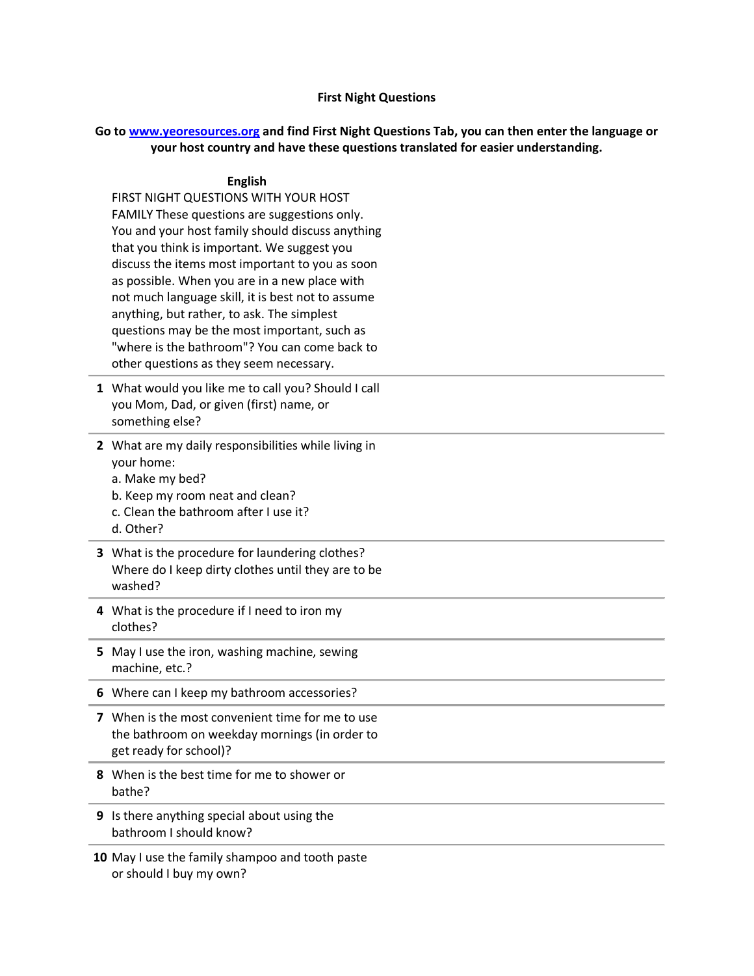## **First Night Questions**

## **Go to [www.yeoresources.org](http://www.yeoresources.org/) and find First Night Questions Tab, you can then enter the language or your host country and have these questions translated for easier understanding.**

## **English**

FIRST NIGHT QUESTIONS WITH YOUR HOST FAMILY These questions are suggestions only. You and your host family should discuss anything that you think is important. We suggest you discuss the items most important to you as soon as possible. When you are in a new place with not much language skill, it is best not to assume anything, but rather, to ask. The simplest questions may be the most important, such as "where is the bathroom"? You can come back to other questions as they seem necessary.

- **1** What would you like me to call you? Should I call you Mom, Dad, or given (first) name, or something else?
- **2** What are my daily responsibilities while living in your home: a. Make my bed?
	- b. Keep my room neat and clean?
	- c. Clean the bathroom after I use it?
	- d. Other?
- **3** What is the procedure for laundering clothes? Where do I keep dirty clothes until they are to be washed?
- **4** What is the procedure if I need to iron my clothes?
- **5** May I use the iron, washing machine, sewing machine, etc.?
- **6** Where can I keep my bathroom accessories?
- **7** When is the most convenient time for me to use the bathroom on weekday mornings (in order to get ready for school)?
- **8** When is the best time for me to shower or bathe?
- **9** Is there anything special about using the bathroom I should know?
- **10** May I use the family shampoo and tooth paste or should I buy my own?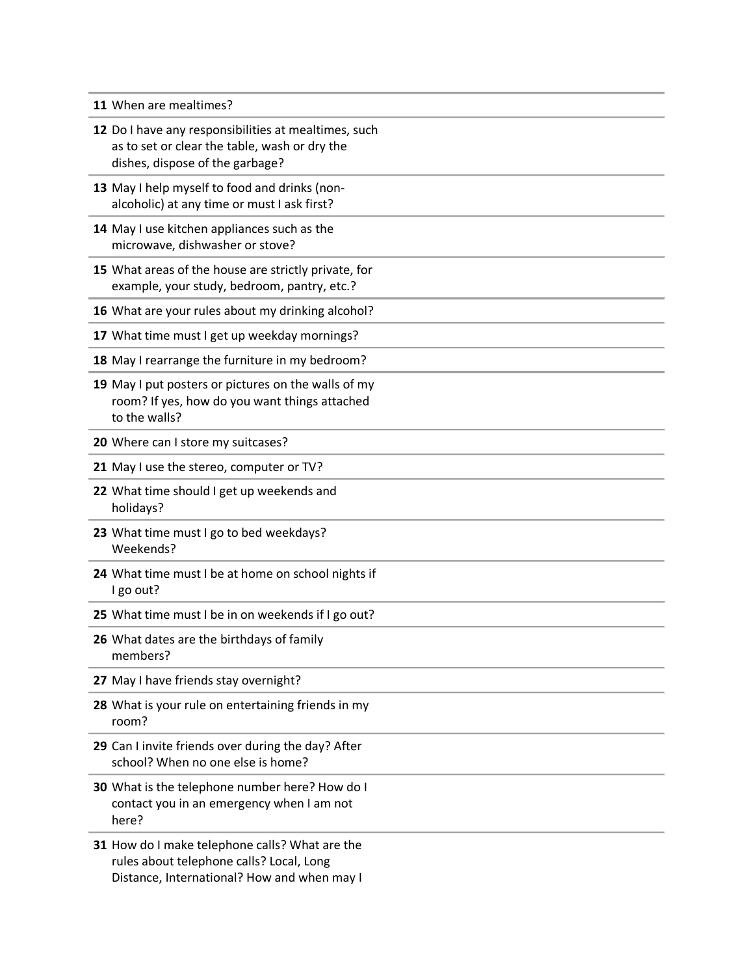|  |  |  | 11 When are mealtimes? |
|--|--|--|------------------------|
|--|--|--|------------------------|

| 12 Do I have any responsibilities at mealtimes, such<br>as to set or clear the table, wash or dry the<br>dishes, dispose of the garbage?  |
|-------------------------------------------------------------------------------------------------------------------------------------------|
| 13 May I help myself to food and drinks (non-<br>alcoholic) at any time or must I ask first?                                              |
| 14 May I use kitchen appliances such as the<br>microwave, dishwasher or stove?                                                            |
| 15 What areas of the house are strictly private, for<br>example, your study, bedroom, pantry, etc.?                                       |
| 16 What are your rules about my drinking alcohol?                                                                                         |
| 17 What time must I get up weekday mornings?                                                                                              |
| 18 May I rearrange the furniture in my bedroom?                                                                                           |
| 19 May I put posters or pictures on the walls of my<br>room? If yes, how do you want things attached<br>to the walls?                     |
| 20 Where can I store my suitcases?                                                                                                        |
| 21 May I use the stereo, computer or TV?                                                                                                  |
| 22 What time should I get up weekends and<br>holidays?                                                                                    |
| 23 What time must I go to bed weekdays?<br>Weekends?                                                                                      |
| 24 What time must I be at home on school nights if<br>I go out?                                                                           |
| 25 What time must I be in on weekends if I go out?                                                                                        |
| 26 What dates are the birthdays of family<br>members?                                                                                     |
| 27 May I have friends stay overnight?                                                                                                     |
| 28 What is your rule on entertaining friends in my<br>room?                                                                               |
| 29 Can I invite friends over during the day? After<br>school? When no one else is home?                                                   |
| 30 What is the telephone number here? How do I<br>contact you in an emergency when I am not<br>here?                                      |
| 31 How do I make telephone calls? What are the<br>rules about telephone calls? Local, Long<br>Distance, International? How and when may I |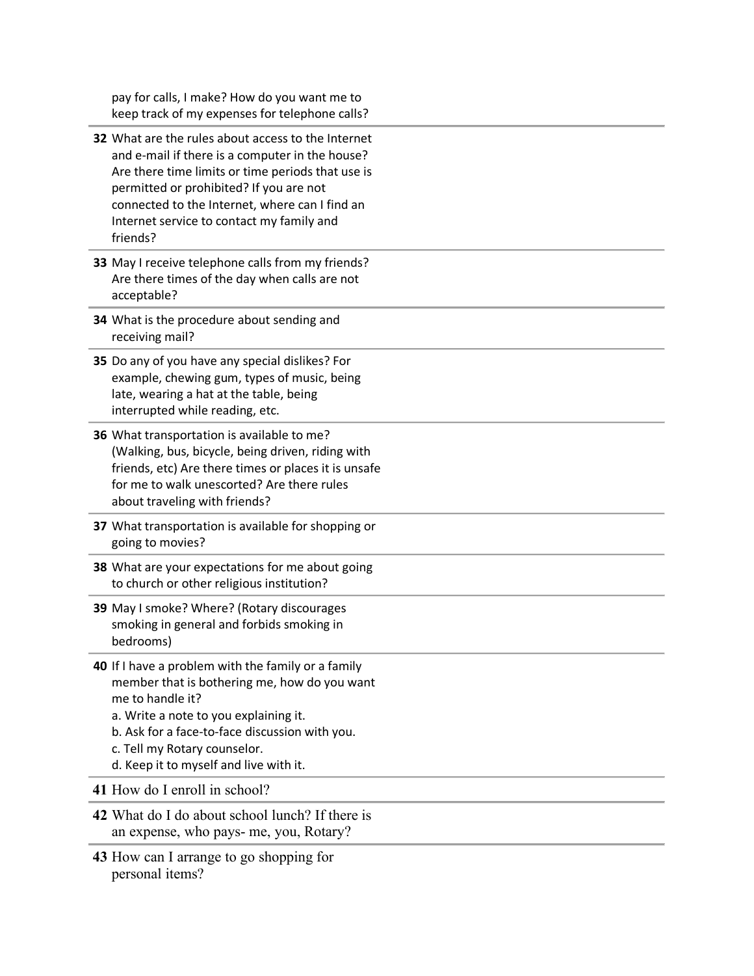pay for calls, I make? How do you want me to keep track of my expenses for telephone calls?

- **32** What are the rules about access to the Internet and e-mail if there is a computer in the house? Are there time limits or time periods that use is permitted or prohibited? If you are not connected to the Internet, where can I find an Internet service to contact my family and friends?
- **33** May I receive telephone calls from my friends? Are there times of the day when calls are not acceptable?
- **34** What is the procedure about sending and receiving mail?
- **35** Do any of you have any special dislikes? For example, chewing gum, types of music, being late, wearing a hat at the table, being interrupted while reading, etc.
- **36** What transportation is available to me? (Walking, bus, bicycle, being driven, riding with friends, etc) Are there times or places it is unsafe for me to walk unescorted? Are there rules about traveling with friends?
- **37** What transportation is available for shopping or going to movies?
- **38** What are your expectations for me about going to church or other religious institution?
- **39** May I smoke? Where? (Rotary discourages smoking in general and forbids smoking in bedrooms)
- **40** If I have a problem with the family or a family member that is bothering me, how do you want me to handle it?
	- a. Write a note to you explaining it.
	- b. Ask for a face-to-face discussion with you.
	- c. Tell my Rotary counselor.
	- d. Keep it to myself and live with it.

**41** How do I enroll in school?

- **42** What do I do about school lunch? If there is an expense, who pays- me, you, Rotary?
- **43** How can I arrange to go shopping for personal items?